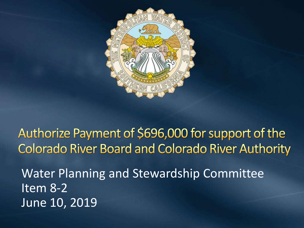

Authorize Payment of \$696,000 for support of the **Colorado River Board and Colorado River Authority** 

Water Planning and Stewardship Committee Item 8-2 June 10, 2019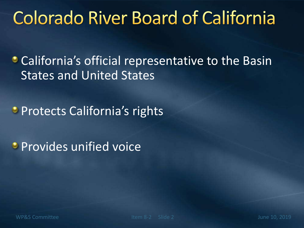#### **Colorado River Board of California**

**• California's official representative to the Basin** States and United States

**Protects California's rights** 

**Provides unified voice**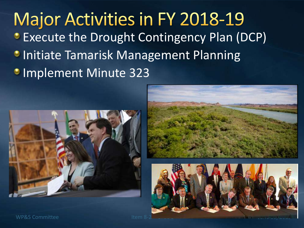**Major Activities in FY 2018-19 • Execute the Drought Contingency Plan (DCP) • Initiate Tamarisk Management Planning Implement Minute 323** 







WP&S Committee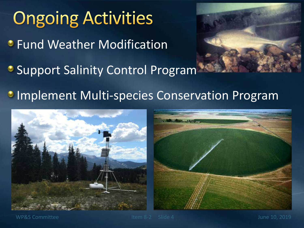# **Ongoing Activities** *•* Fund Weather Modification **Support Salinity Control Program Implement Multi-species Conservation Program**



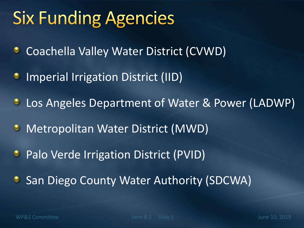### **Six Funding Agencies**

- Coachella Valley Water District (CVWD) ۰
- Imperial Irrigation District (IID) ۰
- Los Angeles Department of Water & Power (LADWP)  $\bullet$
- Metropolitan Water District (MWD)  $\bullet$
- Palo Verde Irrigation District (PVID)  $\bullet$
- San Diego County Water Authority (SDCWA)٥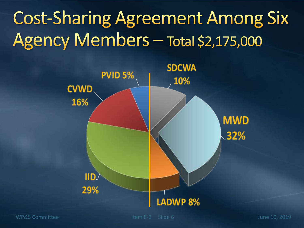# **Cost-Sharing Agreement Among Six** Agency Members - Total \$2,175,000



WP&S Committee Item 8-2 Slide 6 June 10, 2019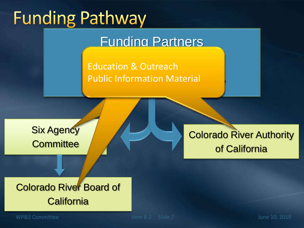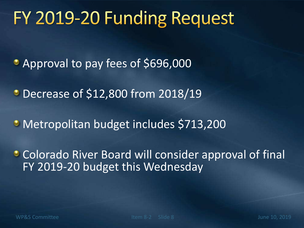#### FY 2019-20 Funding Request

- Approval to pay fees of \$696,000
- Decrease of \$12,800 from 2018/19
- Metropolitan budget includes \$713,200
- **Colorado River Board will consider approval of final** FY 2019-20 budget this Wednesday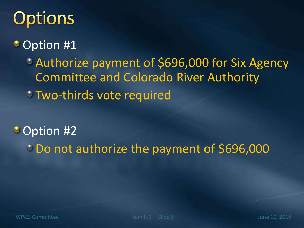## Options

#### • Option #1

Authorize payment of \$696,000 for Six Agency Committee and Colorado River Authority

Two-thirds vote required

Option #2 Do not authorize the payment of \$696,000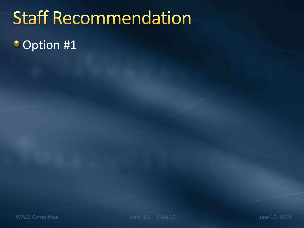### **Staff Recommendation**

• Option #1